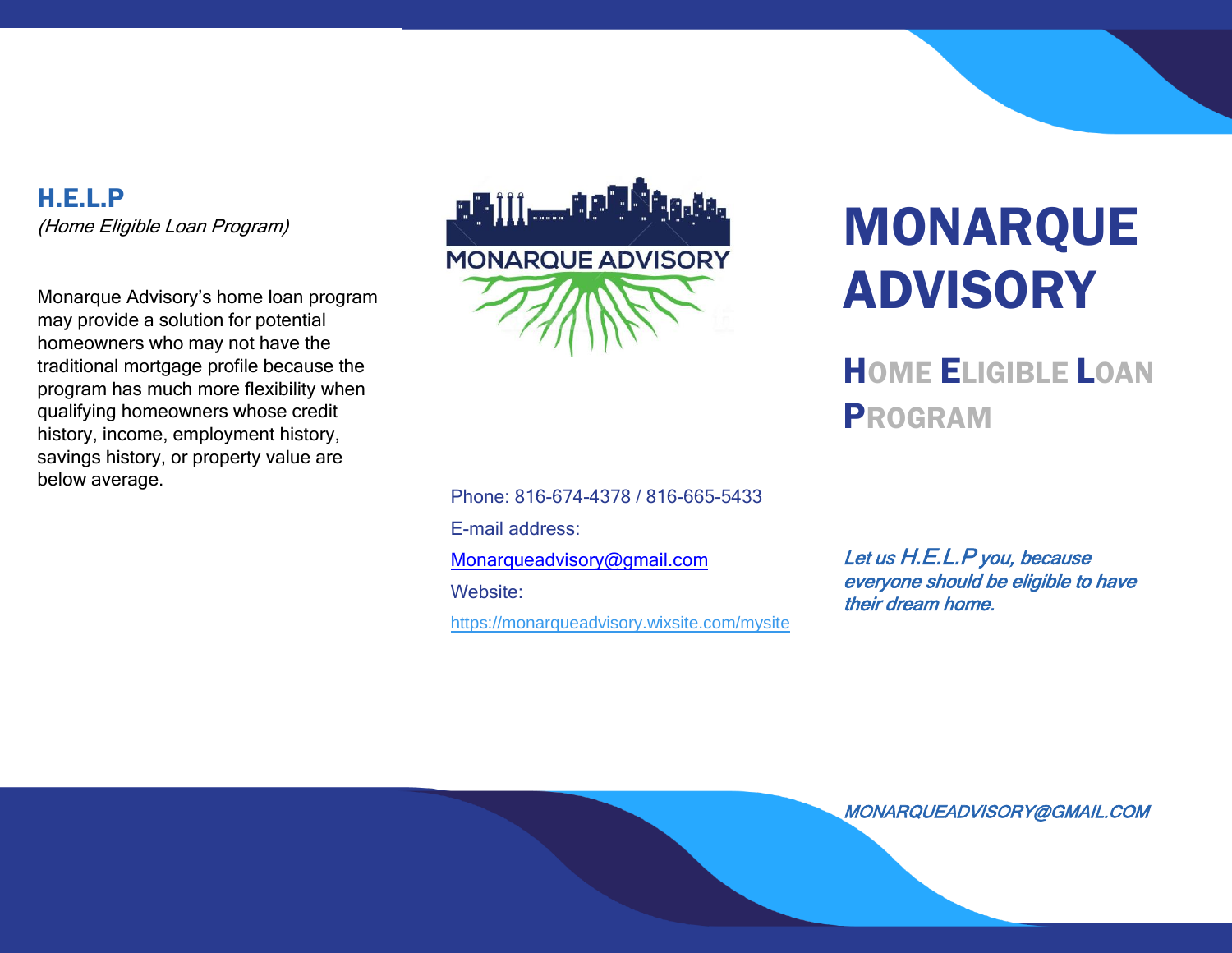H.E.L.P (Home Eligible Loan Program)

Monarque Advisory's home loan program may provide a solution for potential homeowners who may not have the traditional mortgage profile because the program has much more flexibility when qualifying homeowners whose credit history, income, employment history, savings history, or property value are below average.



Phone: 816-674-4378 / 816-665-5433 E-mail address: [Monarqueadvisory@gmail.com](mailto:Monarqueadvisory@gmail.com) Website: <https://monarqueadvisory.wixsite.com/mysite>

# MONARQUE ADVISORY

HOME ELIGIBLE LOAN PROGRAM

Let us H.E.L.P you, because everyone should be eligible to have their dream home.

MONARQUEADVISORY@GMAIL.COM